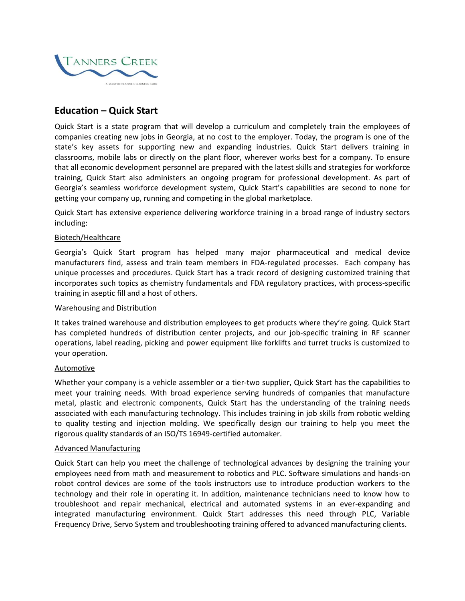

# **Education – Quick Start**

Quick Start is a state program that will develop a curriculum and completely train the employees of companies creating new jobs in Georgia, at no cost to the employer. Today, the program is one of the state's key assets for supporting new and expanding industries. Quick Start delivers training in classrooms, mobile labs or directly on the plant floor, wherever works best for a company. To ensure that all economic development personnel are prepared with the latest skills and strategies for workforce training, Quick Start also administers an ongoing program for professional development. As part of Georgia's seamless workforce development system, Quick Start's capabilities are second to none for getting your company up, running and competing in the global marketplace.

Quick Start has extensive experience delivering workforce training in a broad range of industry sectors including:

## Biotech/Healthcare

Georgia's Quick Start program has helped many major pharmaceutical and medical device manufacturers find, assess and train team members in FDA-regulated processes. Each company has unique processes and procedures. Quick Start has a track record of designing customized training that incorporates such topics as chemistry fundamentals and FDA regulatory practices, with process-specific training in aseptic fill and a host of others.

#### Warehousing and Distribution

It takes trained warehouse and distribution employees to get products where they're going. Quick Start has completed hundreds of distribution center projects, and our job-specific training in RF scanner operations, label reading, picking and power equipment like forklifts and turret trucks is customized to your operation.

# Automotive

Whether your company is a vehicle assembler or a tier-two supplier, Quick Start has the capabilities to meet your training needs. With broad experience serving hundreds of companies that manufacture metal, plastic and electronic components, Quick Start has the understanding of the training needs associated with each manufacturing technology. This includes training in job skills from robotic welding to quality testing and injection molding. We specifically design our training to help you meet the rigorous quality standards of an ISO/TS 16949-certified automaker.

# Advanced Manufacturing

Quick Start can help you meet the challenge of technological advances by designing the training your employees need from math and measurement to robotics and PLC. Software simulations and hands-on robot control devices are some of the tools instructors use to introduce production workers to the technology and their role in operating it. In addition, maintenance technicians need to know how to troubleshoot and repair mechanical, electrical and automated systems in an ever-expanding and integrated manufacturing environment. Quick Start addresses this need through PLC, Variable Frequency Drive, Servo System and troubleshooting training offered to advanced manufacturing clients.